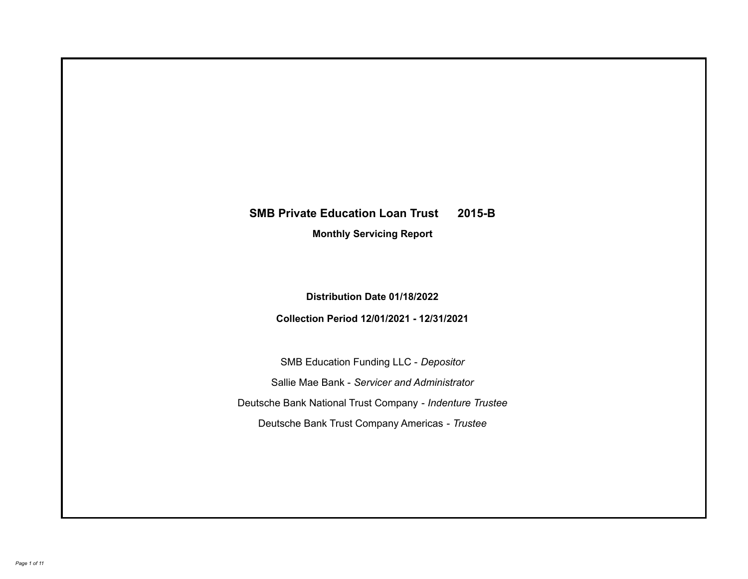# **SMB Private Education Loan Trust 2015-B**

**Monthly Servicing Report**

**Distribution Date 01/18/2022**

**Collection Period 12/01/2021 - 12/31/2021**

SMB Education Funding LLC - *Depositor* Sallie Mae Bank - *Servicer and Administrator* Deutsche Bank National Trust Company - *Indenture Trustee* Deutsche Bank Trust Company Americas - *Trustee*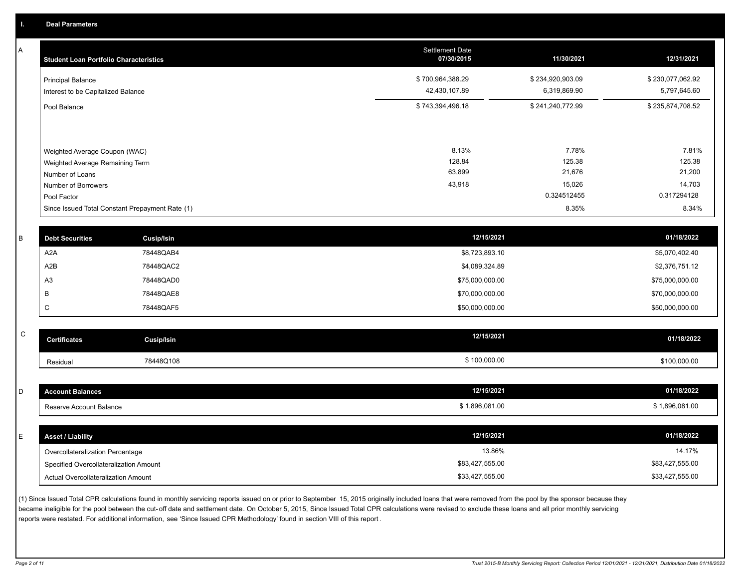A

| <b>Student Loan Portfolio Characteristics</b>                  | <b>Settlement Date</b><br>07/30/2015 | 11/30/2021                       | 12/31/2021                       |
|----------------------------------------------------------------|--------------------------------------|----------------------------------|----------------------------------|
| <b>Principal Balance</b><br>Interest to be Capitalized Balance | \$700,964,388.29<br>42,430,107.89    | \$234,920,903.09<br>6,319,869.90 | \$230,077,062.92<br>5,797,645.60 |
| Pool Balance                                                   | \$743,394,496.18                     | \$241,240,772.99                 | \$235,874,708.52                 |
| Weighted Average Coupon (WAC)                                  | 8.13%                                | 7.78%                            | 7.81%                            |
| Weighted Average Remaining Term                                | 128.84                               | 125.38                           | 125.38                           |
| Number of Loans                                                | 63,899                               | 21,676                           | 21,200                           |
| Number of Borrowers                                            | 43,918                               | 15,026                           | 14,703                           |
| Pool Factor                                                    |                                      | 0.324512455                      | 0.317294128                      |
| Since Issued Total Constant Prepayment Rate (1)                |                                      | 8.35%                            | 8.34%                            |

| <b>Debt Securities</b> | <b>Cusip/Isin</b> | 12/15/2021      | 01/18/2022      |
|------------------------|-------------------|-----------------|-----------------|
| A2A                    | 78448QAB4         | \$8,723,893.10  | \$5,070,402.40  |
| A2B                    | 78448QAC2         | \$4,089,324.89  | \$2,376,751.12  |
| A3                     | 78448QAD0         | \$75,000,000.00 | \$75,000,000.00 |
|                        | 78448QAE8         | \$70,000,000.00 | \$70,000,000.00 |
| ◡                      | 78448QAF5         | \$50,000,000.00 | \$50,000,000.00 |
|                        |                   |                 |                 |

| $\sim$<br>ັບ | <b>Certificates</b> | <b>Cusip/Isin</b> | 12/15/2021   | 01/18/2022   |
|--------------|---------------------|-------------------|--------------|--------------|
|              | Residual            | 78448Q108         | \$100,000.00 | \$100,000.00 |

| <b>Account Balances</b>                | 12/15/2021      | 01/18/2022      |
|----------------------------------------|-----------------|-----------------|
| Reserve Account Balance                | \$1,896,081.00  | \$1,896,081.00  |
|                                        |                 |                 |
| <b>Asset / Liability</b>               | 12/15/2021      | 01/18/2022      |
| Overcollateralization Percentage       | 13.86%          | 14.17%          |
| Specified Overcollateralization Amount | \$83,427,555.00 | \$83,427,555.00 |
| Actual Overcollateralization Amount    | \$33,427,555.00 | \$33,427,555.00 |

(1) Since Issued Total CPR calculations found in monthly servicing reports issued on or prior to September 15, 2015 originally included loans that were removed from the pool by the sponsor because they became ineligible for the pool between the cut-off date and settlement date. On October 5, 2015, Since Issued Total CPR calculations were revised to exclude these loans and all prior monthly servicing reports were restated. For additional information, see 'Since Issued CPR Methodology' found in section VIII of this report .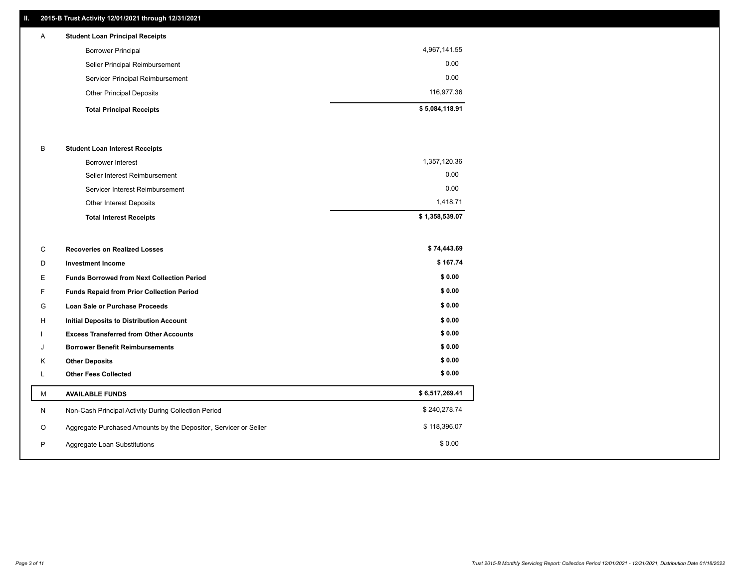# **II. 2015-B Trust Activity 12/01/2021 through 12/31/2021**

| $\mathsf{A}$ | <b>Student Loan Principal Receipts</b> |                |
|--------------|----------------------------------------|----------------|
|              | <b>Borrower Principal</b>              | 4,967,141.55   |
|              | Seller Principal Reimbursement         | 0.00           |
|              | Servicer Principal Reimbursement       | 0.00           |
|              | <b>Other Principal Deposits</b>        | 116,977.36     |
|              | <b>Total Principal Receipts</b>        | \$5,084,118.91 |

#### B **Student Loan Interest Receipts**

| <b>Total Interest Receipts</b>  | \$1,358,539.07 |
|---------------------------------|----------------|
| Other Interest Deposits         | 1.418.71       |
| Servicer Interest Reimbursement | 0.00           |
| Seller Interest Reimbursement   | 0.00           |
| <b>Borrower Interest</b>        | 1,357,120.36   |

| C  | <b>Recoveries on Realized Losses</b>                             | \$74,443.69    |
|----|------------------------------------------------------------------|----------------|
| D  | <b>Investment Income</b>                                         | \$167.74       |
| Е  | <b>Funds Borrowed from Next Collection Period</b>                | \$0.00         |
| F  | <b>Funds Repaid from Prior Collection Period</b>                 | \$0.00         |
| G  | <b>Loan Sale or Purchase Proceeds</b>                            | \$0.00         |
| H  | <b>Initial Deposits to Distribution Account</b>                  | \$0.00         |
|    | <b>Excess Transferred from Other Accounts</b>                    | \$0.00         |
| J  | <b>Borrower Benefit Reimbursements</b>                           | \$0.00         |
| K  | <b>Other Deposits</b>                                            | \$0.00         |
| L. | <b>Other Fees Collected</b>                                      | \$0.00         |
| м  | <b>AVAILABLE FUNDS</b>                                           | \$6,517,269.41 |
| N  | Non-Cash Principal Activity During Collection Period             | \$240,278.74   |
| O  | Aggregate Purchased Amounts by the Depositor, Servicer or Seller | \$118,396.07   |
| P  | Aggregate Loan Substitutions                                     | \$0.00         |
|    |                                                                  |                |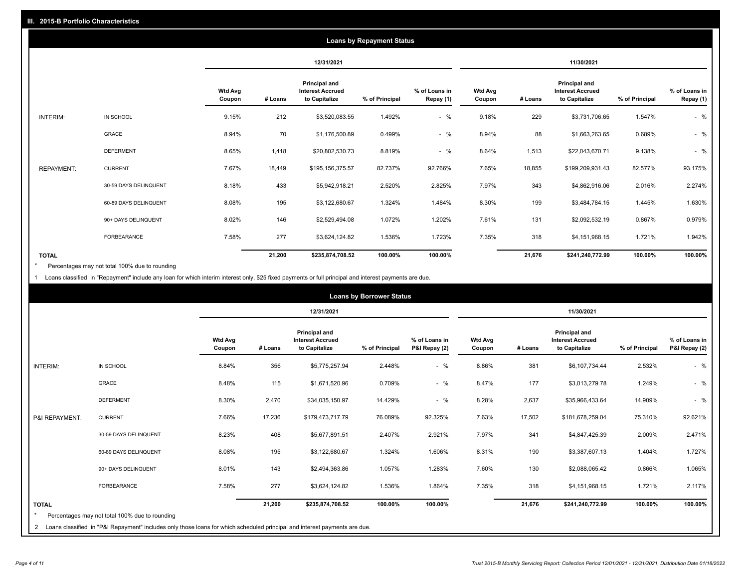|                   | <b>Loans by Repayment Status</b> |                   |            |                                                                  |                |                            |                   |         |                                                                  |                |                            |
|-------------------|----------------------------------|-------------------|------------|------------------------------------------------------------------|----------------|----------------------------|-------------------|---------|------------------------------------------------------------------|----------------|----------------------------|
|                   |                                  |                   | 12/31/2021 |                                                                  |                |                            |                   |         | 11/30/2021                                                       |                |                            |
|                   |                                  | Wtd Avg<br>Coupon | # Loans    | <b>Principal and</b><br><b>Interest Accrued</b><br>to Capitalize | % of Principal | % of Loans in<br>Repay (1) | Wtd Avg<br>Coupon | # Loans | <b>Principal and</b><br><b>Interest Accrued</b><br>to Capitalize | % of Principal | % of Loans in<br>Repay (1) |
| INTERIM:          | IN SCHOOL                        | 9.15%             | 212        | \$3,520,083.55                                                   | 1.492%         | $-$ %                      | 9.18%             | 229     | \$3,731,706.65                                                   | 1.547%         | $-$ %                      |
|                   | GRACE                            | 8.94%             | 70         | \$1,176,500.89                                                   | 0.499%         | $-$ %                      | 8.94%             | 88      | \$1,663,263.65                                                   | 0.689%         | $-$ %                      |
|                   | <b>DEFERMENT</b>                 | 8.65%             | 1,418      | \$20,802,530.73                                                  | 8.819%         | $-$ %                      | 8.64%             | 1,513   | \$22,043,670.71                                                  | 9.138%         | $-$ %                      |
| <b>REPAYMENT:</b> | <b>CURRENT</b>                   | 7.67%             | 18,449     | \$195,156,375.57                                                 | 82.737%        | 92.766%                    | 7.65%             | 18,855  | \$199,209,931.43                                                 | 82.577%        | 93.175%                    |
|                   | 30-59 DAYS DELINQUENT            | 8.18%             | 433        | \$5,942,918.21                                                   | 2.520%         | 2.825%                     | 7.97%             | 343     | \$4,862,916.06                                                   | 2.016%         | 2.274%                     |
|                   | 60-89 DAYS DELINQUENT            | 8.08%             | 195        | \$3,122,680.67                                                   | 1.324%         | 1.484%                     | 8.30%             | 199     | \$3,484,784.15                                                   | 1.445%         | 1.630%                     |
|                   | 90+ DAYS DELINQUENT              | 8.02%             | 146        | \$2,529,494.08                                                   | 1.072%         | 1.202%                     | 7.61%             | 131     | \$2,092,532.19                                                   | 0.867%         | 0.979%                     |
|                   | <b>FORBEARANCE</b>               | 7.58%             | 277        | \$3,624,124.82                                                   | 1.536%         | 1.723%                     | 7.35%             | 318     | \$4,151,968.15                                                   | 1.721%         | 1.942%                     |
| <b>TOTAL</b>      |                                  |                   | 21,200     | \$235,874,708.52                                                 | 100.00%        | 100.00%                    |                   | 21,676  | \$241,240,772.99                                                 | 100.00%        | 100.00%                    |

Percentages may not total 100% due to rounding \*

1 Loans classified in "Repayment" include any loan for which interim interest only, \$25 fixed payments or full principal and interest payments are due.

|                 | <b>Loans by Borrower Status</b>                                                                                              |                          |         |                                                           |                |                                |                          |         |                                                           |                |                                |
|-----------------|------------------------------------------------------------------------------------------------------------------------------|--------------------------|---------|-----------------------------------------------------------|----------------|--------------------------------|--------------------------|---------|-----------------------------------------------------------|----------------|--------------------------------|
|                 |                                                                                                                              |                          |         | 12/31/2021                                                |                |                                | 11/30/2021               |         |                                                           |                |                                |
|                 |                                                                                                                              | <b>Wtd Avg</b><br>Coupon | # Loans | Principal and<br><b>Interest Accrued</b><br>to Capitalize | % of Principal | % of Loans in<br>P&I Repay (2) | <b>Wtd Avg</b><br>Coupon | # Loans | Principal and<br><b>Interest Accrued</b><br>to Capitalize | % of Principal | % of Loans in<br>P&I Repay (2) |
| <b>INTERIM:</b> | IN SCHOOL                                                                                                                    | 8.84%                    | 356     | \$5,775,257.94                                            | 2.448%         | $-$ %                          | 8.86%                    | 381     | \$6,107,734.44                                            | 2.532%         | $-$ %                          |
|                 | <b>GRACE</b>                                                                                                                 | 8.48%                    | 115     | \$1,671,520.96                                            | 0.709%         | $-$ %                          | 8.47%                    | 177     | \$3,013,279.78                                            | 1.249%         | $-$ %                          |
|                 | <b>DEFERMENT</b>                                                                                                             | 8.30%                    | 2,470   | \$34,035,150.97                                           | 14.429%        | $-$ %                          | 8.28%                    | 2,637   | \$35,966,433.64                                           | 14.909%        | $-$ %                          |
| P&I REPAYMENT:  | <b>CURRENT</b>                                                                                                               | 7.66%                    | 17,236  | \$179,473,717.79                                          | 76.089%        | 92.325%                        | 7.63%                    | 17,502  | \$181,678,259.04                                          | 75.310%        | 92.621%                        |
|                 | 30-59 DAYS DELINQUENT                                                                                                        | 8.23%                    | 408     | \$5,677,891.51                                            | 2.407%         | 2.921%                         | 7.97%                    | 341     | \$4,847,425.39                                            | 2.009%         | 2.471%                         |
|                 | 60-89 DAYS DELINQUENT                                                                                                        | 8.08%                    | 195     | \$3,122,680.67                                            | 1.324%         | 1.606%                         | 8.31%                    | 190     | \$3,387,607.13                                            | 1.404%         | 1.727%                         |
|                 | 90+ DAYS DELINQUENT                                                                                                          | 8.01%                    | 143     | \$2,494,363.86                                            | 1.057%         | 1.283%                         | 7.60%                    | 130     | \$2,088,065.42                                            | 0.866%         | 1.065%                         |
|                 | <b>FORBEARANCE</b>                                                                                                           | 7.58%                    | 277     | \$3,624,124.82                                            | 1.536%         | 1.864%                         | 7.35%                    | 318     | \$4,151,968.15                                            | 1.721%         | 2.117%                         |
| <b>TOTAL</b>    |                                                                                                                              |                          | 21,200  | \$235,874,708.52                                          | 100.00%        | 100.00%                        |                          | 21,676  | \$241,240,772.99                                          | 100.00%        | 100.00%                        |
|                 | Percentages may not total 100% due to rounding                                                                               |                          |         |                                                           |                |                                |                          |         |                                                           |                |                                |
|                 | 2 Loans classified in "P&I Repayment" includes only those loans for which scheduled principal and interest payments are due. |                          |         |                                                           |                |                                |                          |         |                                                           |                |                                |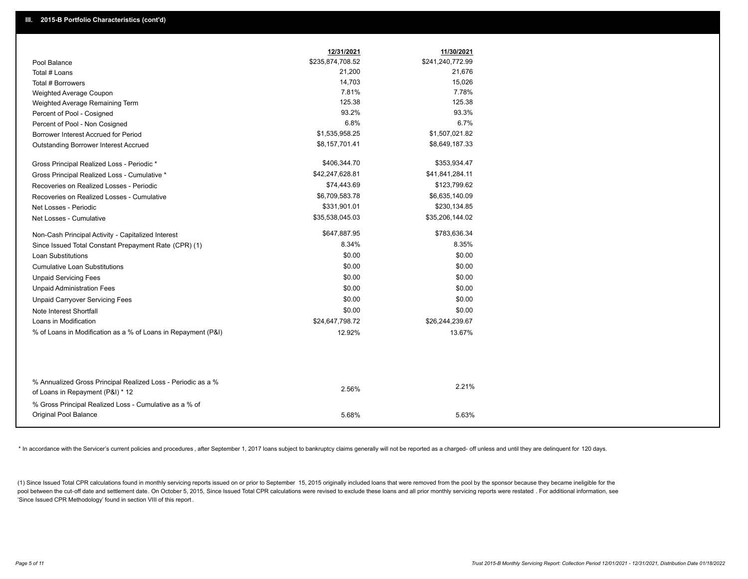|                                                                                                  | 12/31/2021       | 11/30/2021       |
|--------------------------------------------------------------------------------------------------|------------------|------------------|
| Pool Balance                                                                                     | \$235,874,708.52 | \$241,240,772.99 |
| Total # Loans                                                                                    | 21,200           | 21,676           |
| Total # Borrowers                                                                                | 14,703           | 15,026           |
| Weighted Average Coupon                                                                          | 7.81%            | 7.78%            |
| Weighted Average Remaining Term                                                                  | 125.38           | 125.38           |
| Percent of Pool - Cosigned                                                                       | 93.2%            | 93.3%            |
| Percent of Pool - Non Cosigned                                                                   | 6.8%             | 6.7%             |
| Borrower Interest Accrued for Period                                                             | \$1,535,958.25   | \$1,507,021.82   |
| Outstanding Borrower Interest Accrued                                                            | \$8,157,701.41   | \$8,649,187.33   |
| Gross Principal Realized Loss - Periodic *                                                       | \$406,344.70     | \$353,934.47     |
| Gross Principal Realized Loss - Cumulative *                                                     | \$42,247,628.81  | \$41,841,284.11  |
| Recoveries on Realized Losses - Periodic                                                         | \$74,443.69      | \$123,799.62     |
| Recoveries on Realized Losses - Cumulative                                                       | \$6,709,583.78   | \$6,635,140.09   |
| Net Losses - Periodic                                                                            | \$331,901.01     | \$230,134.85     |
| Net Losses - Cumulative                                                                          | \$35,538,045.03  | \$35,206,144.02  |
| Non-Cash Principal Activity - Capitalized Interest                                               | \$647,887.95     | \$783,636.34     |
| Since Issued Total Constant Prepayment Rate (CPR) (1)                                            | 8.34%            | 8.35%            |
| Loan Substitutions                                                                               | \$0.00           | \$0.00           |
| <b>Cumulative Loan Substitutions</b>                                                             | \$0.00           | \$0.00           |
| <b>Unpaid Servicing Fees</b>                                                                     | \$0.00           | \$0.00           |
| <b>Unpaid Administration Fees</b>                                                                | \$0.00           | \$0.00           |
| <b>Unpaid Carryover Servicing Fees</b>                                                           | \$0.00           | \$0.00           |
| Note Interest Shortfall                                                                          | \$0.00           | \$0.00           |
| Loans in Modification                                                                            | \$24,647,798.72  | \$26,244,239.67  |
| % of Loans in Modification as a % of Loans in Repayment (P&I)                                    | 12.92%           | 13.67%           |
|                                                                                                  |                  |                  |
|                                                                                                  |                  |                  |
| % Annualized Gross Principal Realized Loss - Periodic as a %<br>of Loans in Repayment (P&I) * 12 | 2.56%            | 2.21%            |
| % Gross Principal Realized Loss - Cumulative as a % of<br>Original Pool Balance                  |                  |                  |
|                                                                                                  | 5.68%            | 5.63%            |

\* In accordance with the Servicer's current policies and procedures, after September 1, 2017 loans subject to bankruptcy claims generally will not be reported as a charged- off unless and until they are delinquent for 120

(1) Since Issued Total CPR calculations found in monthly servicing reports issued on or prior to September 15, 2015 originally included loans that were removed from the pool by the sponsor because they became ineligible fo pool between the cut-off date and settlement date. On October 5, 2015, Since Issued Total CPR calculations were revised to exclude these loans and all prior monthly servicing reports were restated. For additional informati 'Since Issued CPR Methodology' found in section VIII of this report .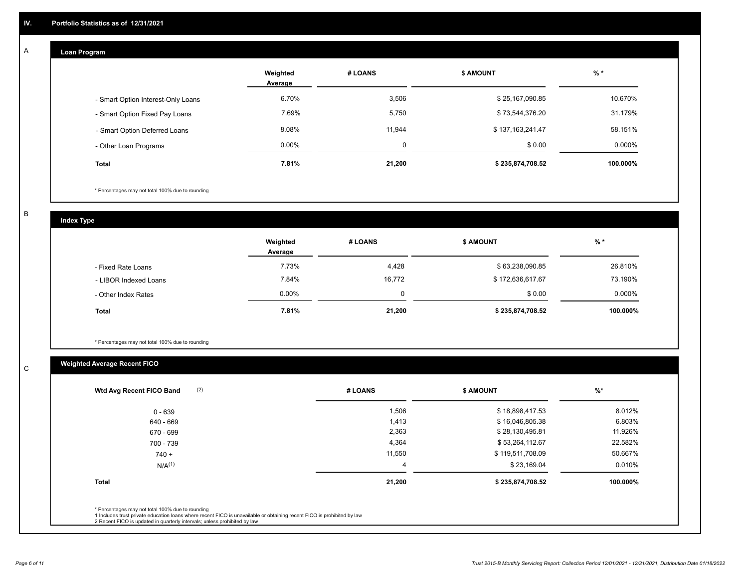#### **Loan Program**  A

|                                    | Weighted<br>Average | # LOANS | <b>\$ AMOUNT</b> | $%$ *     |
|------------------------------------|---------------------|---------|------------------|-----------|
| - Smart Option Interest-Only Loans | 6.70%               | 3,506   | \$25,167,090.85  | 10.670%   |
| - Smart Option Fixed Pay Loans     | 7.69%               | 5,750   | \$73,544,376.20  | 31.179%   |
| - Smart Option Deferred Loans      | 8.08%               | 11,944  | \$137,163,241.47 | 58.151%   |
| - Other Loan Programs              | $0.00\%$            | Ω       | \$0.00           | $0.000\%$ |
| <b>Total</b>                       | 7.81%               | 21.200  | \$235,874,708.52 | 100.000%  |

\* Percentages may not total 100% due to rounding

B

C

**Index Type**

|                       | Weighted<br>Average | <b>\$ AMOUNT</b><br># LOANS |                  | $%$ *     |
|-----------------------|---------------------|-----------------------------|------------------|-----------|
| - Fixed Rate Loans    | 7.73%               | 4,428                       | \$63,238,090.85  | 26.810%   |
| - LIBOR Indexed Loans | 7.84%               | 16,772                      | \$172,636,617.67 | 73.190%   |
| - Other Index Rates   | $0.00\%$            | 0                           | \$0.00           | $0.000\%$ |
| <b>Total</b>          | 7.81%               | 21,200                      | \$235,874,708.52 | 100.000%  |

\* Percentages may not total 100% due to rounding

# **Weighted Average Recent FICO**

| 1,506  |                  |          |
|--------|------------------|----------|
|        | \$18,898,417.53  | 8.012%   |
| 1,413  | \$16,046,805.38  | 6.803%   |
| 2,363  | \$28,130,495.81  | 11.926%  |
| 4,364  | \$53,264,112.67  | 22.582%  |
| 11,550 | \$119,511,708.09 | 50.667%  |
| 4      | \$23,169.04      | 0.010%   |
| 21,200 | \$235,874,708.52 | 100.000% |
|        |                  |          |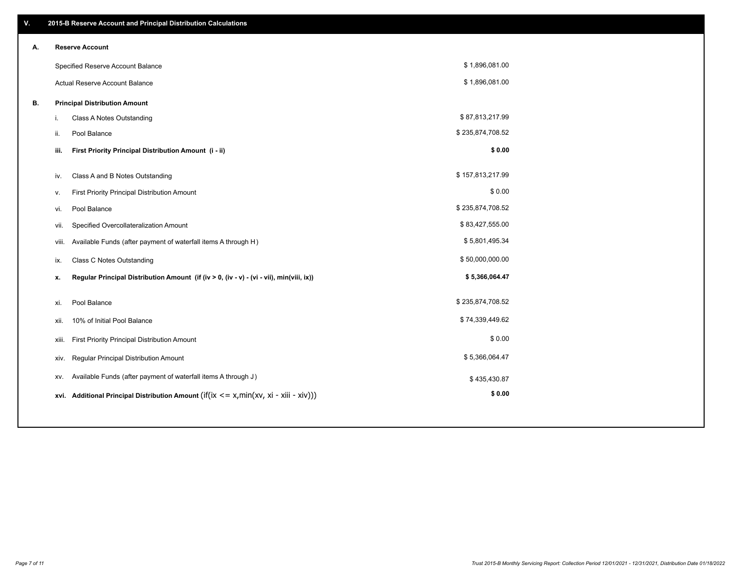| V. |       | 2015-B Reserve Account and Principal Distribution Calculations                              |                  |  |
|----|-------|---------------------------------------------------------------------------------------------|------------------|--|
| Α. |       | <b>Reserve Account</b>                                                                      |                  |  |
|    |       | Specified Reserve Account Balance                                                           | \$1,896,081.00   |  |
|    |       | Actual Reserve Account Balance                                                              | \$1,896,081.00   |  |
| В. |       | <b>Principal Distribution Amount</b>                                                        |                  |  |
|    | i.    | Class A Notes Outstanding                                                                   | \$87,813,217.99  |  |
|    | ii.   | Pool Balance                                                                                | \$235,874,708.52 |  |
|    | iii.  | First Priority Principal Distribution Amount (i - ii)                                       | \$0.00           |  |
|    |       |                                                                                             |                  |  |
|    | iv.   | Class A and B Notes Outstanding                                                             | \$157,813,217.99 |  |
|    | v.    | First Priority Principal Distribution Amount                                                | \$0.00           |  |
|    | vi.   | Pool Balance                                                                                | \$235,874,708.52 |  |
|    | vii.  | Specified Overcollateralization Amount                                                      | \$83,427,555.00  |  |
|    |       | Available Funds (after payment of waterfall items A through H)<br>viii.                     | \$5,801,495.34   |  |
|    | ix.   | <b>Class C Notes Outstanding</b>                                                            | \$50,000,000.00  |  |
|    | x.    | Regular Principal Distribution Amount (if (iv > 0, (iv - v) - (vi - vii), min(viii, ix))    | \$5,366,064.47   |  |
|    |       |                                                                                             |                  |  |
|    | xi.   | Pool Balance                                                                                | \$235,874,708.52 |  |
|    | xii.  | 10% of Initial Pool Balance                                                                 | \$74,339,449.62  |  |
|    | xiii. | First Priority Principal Distribution Amount                                                | \$0.00           |  |
|    |       | Regular Principal Distribution Amount<br>xiv.                                               | \$5,366,064.47   |  |
|    | XV.   | Available Funds (after payment of waterfall items A through J)                              | \$435,430.87     |  |
|    |       | xvi. Additional Principal Distribution Amount (if(ix $\leq$ = x, min(xv, xi - xiii - xiv))) | \$0.00           |  |
|    |       |                                                                                             |                  |  |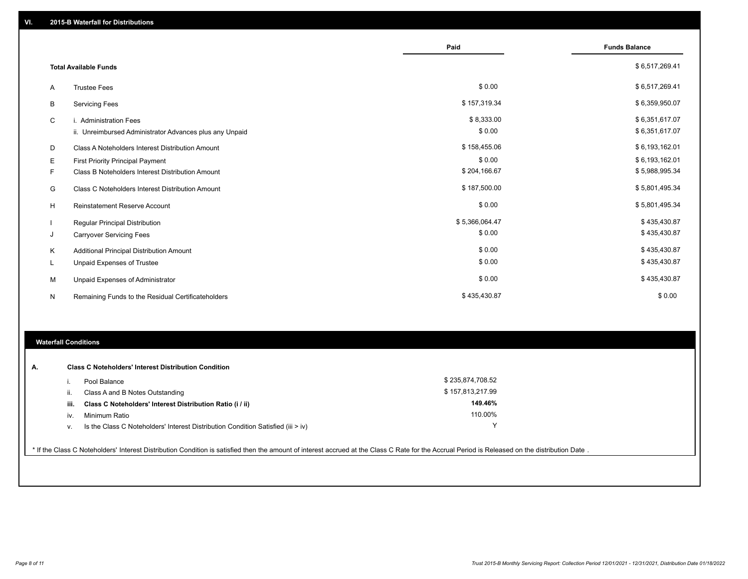|   |                                                         | Paid           | <b>Funds Balance</b> |
|---|---------------------------------------------------------|----------------|----------------------|
|   | <b>Total Available Funds</b>                            |                | \$6,517,269.41       |
| A | <b>Trustee Fees</b>                                     | \$0.00         | \$6,517,269.41       |
| B | <b>Servicing Fees</b>                                   | \$157,319.34   | \$6,359,950.07       |
| C | i. Administration Fees                                  | \$8,333.00     | \$6,351,617.07       |
|   | ii. Unreimbursed Administrator Advances plus any Unpaid | \$0.00         | \$6,351,617.07       |
| D | Class A Noteholders Interest Distribution Amount        | \$158,455.06   | \$6,193,162.01       |
| Е | <b>First Priority Principal Payment</b>                 | \$0.00         | \$6,193,162.01       |
| F | Class B Noteholders Interest Distribution Amount        | \$204,166.67   | \$5,988,995.34       |
| G | Class C Noteholders Interest Distribution Amount        | \$187,500.00   | \$5,801,495.34       |
| H | Reinstatement Reserve Account                           | \$0.00         | \$5,801,495.34       |
|   | Regular Principal Distribution                          | \$5,366,064.47 | \$435,430.87         |
| J | <b>Carryover Servicing Fees</b>                         | \$0.00         | \$435,430.87         |
| Κ | Additional Principal Distribution Amount                | \$0.00         | \$435,430.87         |
| L | Unpaid Expenses of Trustee                              | \$0.00         | \$435,430.87         |
| M | Unpaid Expenses of Administrator                        | \$0.00         | \$435,430.87         |
| N | Remaining Funds to the Residual Certificateholders      | \$435,430.87   | \$0.00               |

# **Waterfall Conditions**

| А. |      | <b>Class C Noteholders' Interest Distribution Condition</b>                      |                  |  |
|----|------|----------------------------------------------------------------------------------|------------------|--|
|    |      | Pool Balance                                                                     | \$235,874,708.52 |  |
|    | Ш.   | Class A and B Notes Outstanding                                                  | \$157,813,217.99 |  |
|    | iii. | Class C Noteholders' Interest Distribution Ratio (i / ii)                        | 149.46%          |  |
|    | IV.  | Minimum Ratio                                                                    | 110.00%          |  |
|    | ν.   | Is the Class C Noteholders' Interest Distribution Condition Satisfied (iii > iv) | $\checkmark$     |  |

\* If the Class C Noteholders' Interest Distribution Condition is satisfied then the amount of interest accrued at the Class C Rate for the Accrual Period is Released on the distribution Date .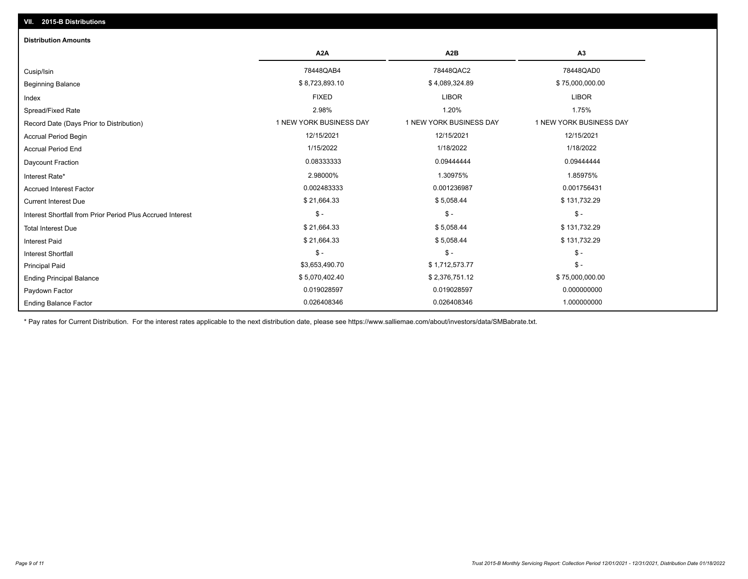# Ending Balance Factor Paydown Factor 0.019028597 0.019028597 0.000000000 Ending Principal Balance \$75,000,000.00 \$5,070,402.40 \$5,070,402.40 \$2,376,751.12 \$75,000,000.00 \$75,000,000.00 Principal Paid \$3,653,490.70 \$ 1,712,573.77 \$ - \$ - \$ - \$ - Interest Shortfall \$ 21,664.33 \$ 5,058.44 \$ 131,732.29 Interest Paid Total Interest Due \$ 21,664.33 \$ 5,058.44 \$ 131,732.29 \$ - \$ - \$ - Interest Shortfall from Prior Period Plus Accrued Interest  $\text{Current Interest Due}$  \$ 131,732.29 Accrued Interest Factor 0.002483333 0.001236987 0.001756431 Interest Rate\* 2.98000% 1.30975% 1.85975% Daycount Fraction 0.08333333 0.09444444 0.09444444 Accrual Period End 1/15/2022 1/18/2022 1/18/2022 Accrual Period Begin 12/15/2021 12/15/2021 12/15/2021 Record Date (Days Prior to Distribution) **1 NEW YORK BUSINESS DAY** 1 NEW YORK BUSINESS DAY 1 NEW YORK BUSINESS DAY Spread/Fixed Rate 2.98% 1.20% 1.75% Index FIXED LIBOR LIBOR Beginning Balance \$ 8,723,893.10 \$ \$,723,893.10 \$ \$ 4,089,324.89 \$ \$ 75,000,000.00 \$ 75,000,000.00 \$ \$ 75,000,000 Cusip/Isin 78448QAB4 78448QAC2 78448QAD0 **A2A A2B A3** 0.026408346 0.026408346 1.000000000 **Distribution Amounts**

\* Pay rates for Current Distribution. For the interest rates applicable to the next distribution date, please see https://www.salliemae.com/about/investors/data/SMBabrate.txt.

**VII. 2015-B Distributions**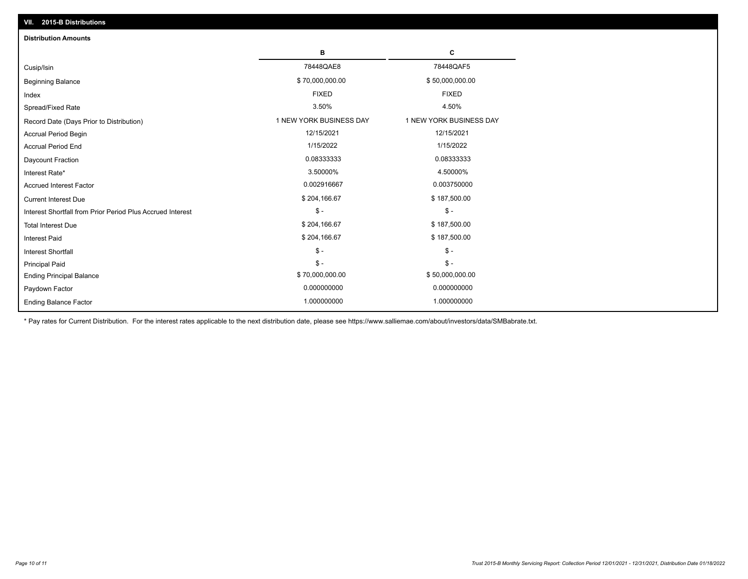| VII. 2015-B Distributions                                  |                         |                         |
|------------------------------------------------------------|-------------------------|-------------------------|
| <b>Distribution Amounts</b>                                |                         |                         |
|                                                            | в                       | c                       |
| Cusip/Isin                                                 | 78448QAE8               | 78448QAF5               |
| <b>Beginning Balance</b>                                   | \$70,000,000.00         | \$50,000,000.00         |
| Index                                                      | <b>FIXED</b>            | <b>FIXED</b>            |
| Spread/Fixed Rate                                          | 3.50%                   | 4.50%                   |
| Record Date (Days Prior to Distribution)                   | 1 NEW YORK BUSINESS DAY | 1 NEW YORK BUSINESS DAY |
| Accrual Period Begin                                       | 12/15/2021              | 12/15/2021              |
| <b>Accrual Period End</b>                                  | 1/15/2022               | 1/15/2022               |
| Daycount Fraction                                          | 0.08333333              | 0.08333333              |
| Interest Rate*                                             | 3.50000%                | 4.50000%                |
| <b>Accrued Interest Factor</b>                             | 0.002916667             | 0.003750000             |
| <b>Current Interest Due</b>                                | \$204,166.67            | \$187,500.00            |
| Interest Shortfall from Prior Period Plus Accrued Interest | $\frac{1}{2}$           | $$ -$                   |
| <b>Total Interest Due</b>                                  | \$204,166.67            | \$187,500.00            |
| <b>Interest Paid</b>                                       | \$204,166.67            | \$187,500.00            |
| Interest Shortfall                                         | $\frac{1}{2}$           | $$ -$                   |
| <b>Principal Paid</b>                                      | $\mathsf{\$}$ -         | $$ -$                   |
| <b>Ending Principal Balance</b>                            | \$70,000,000.00         | \$50,000,000.00         |
| Paydown Factor                                             | 0.000000000             | 0.000000000             |
| <b>Ending Balance Factor</b>                               | 1.000000000             | 1.000000000             |

\* Pay rates for Current Distribution. For the interest rates applicable to the next distribution date, please see https://www.salliemae.com/about/investors/data/SMBabrate.txt.